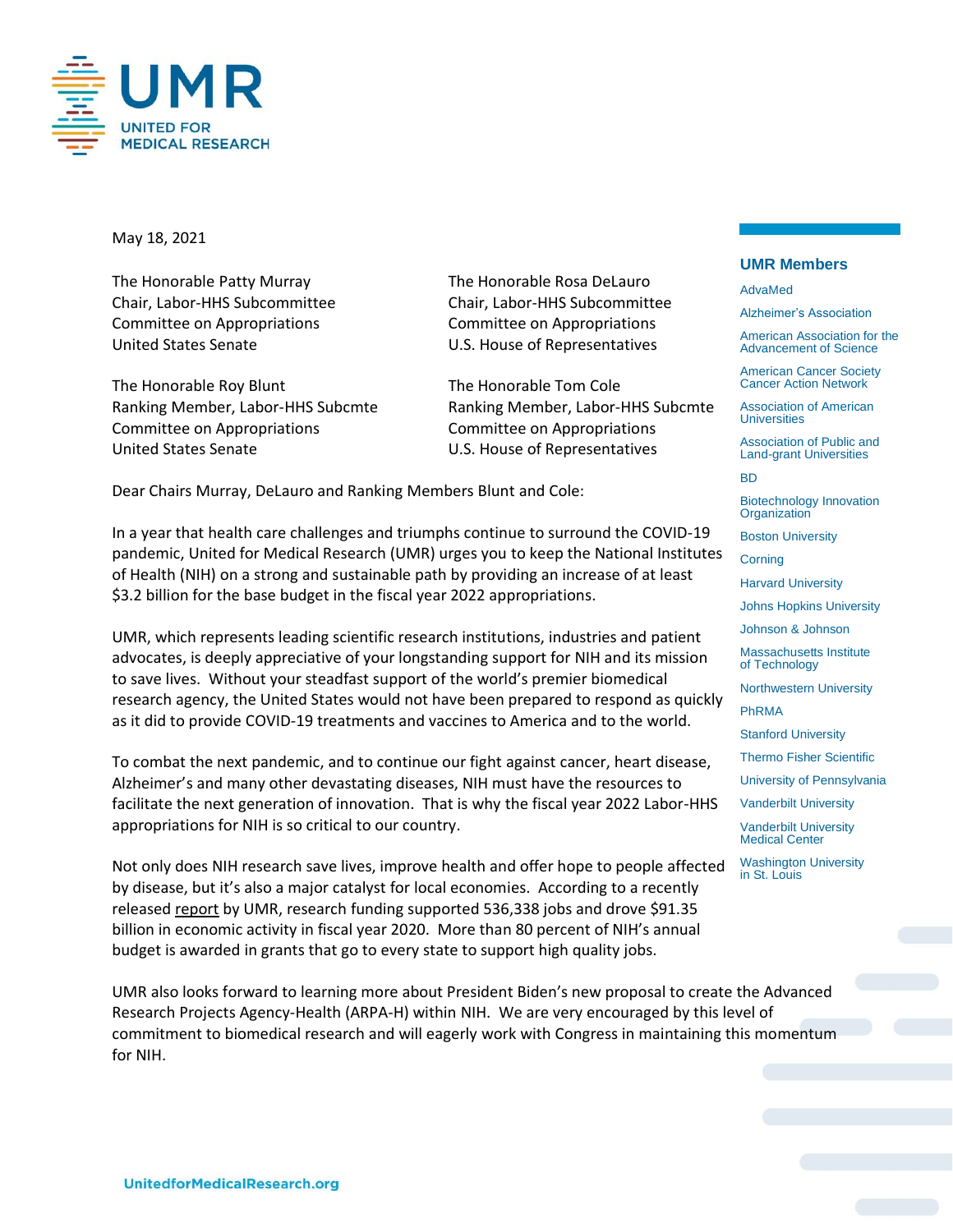

May 18, 2021

The Honorable Patty Murray The Honorable Rosa DeLauro Committee on Appropriations Committee on Appropriations United States Senate U.S. House of Representatives

The Honorable Roy Blunt The Honorable Tom Cole Ranking Member, Labor-HHS Subcmte Ranking Member, Labor-HHS Subcmte Committee on Appropriations Committee on Appropriations United States Senate **U.S. House of Representatives** 

Chair, Labor-HHS Subcommittee Chair, Labor-HHS Subcommittee

Dear Chairs Murray, DeLauro and Ranking Members Blunt and Cole:

In a year that health care challenges and triumphs continue to surround the COVID-19 pandemic, United for Medical Research (UMR) urges you to keep the National Institutes of Health (NIH) on a strong and sustainable path by providing an increase of at least \$3.2 billion for the base budget in the fiscal year 2022 appropriations.

UMR, which represents leading scientific research institutions, industries and patient advocates, is deeply appreciative of your longstanding support for NIH and its mission to save lives. Without your steadfast support of the world's premier biomedical research agency, the United States would not have been prepared to respond as quickly as it did to provide COVID-19 treatments and vaccines to America and to the world.

To combat the next pandemic, and to continue our fight against cancer, heart disease, Alzheimer's and many other devastating diseases, NIH must have the resources to facilitate the next generation of innovation. That is why the fiscal year 2022 Labor-HHS appropriations for NIH is so critical to our country.

Not only does NIH research save lives, improve health and offer hope to people affected by disease, but it's also a major catalyst for local economies. According to a recently release[d report](https://www.unitedformedicalresearch.org/wp-content/uploads/2021/03/NIHs-Role-in-Sustaining-the-U.S.-Economy-FINAL-3.23.21.pdf) by UMR, research funding supported 536,338 jobs and drove \$91.35 billion in economic activity in fiscal year 2020. More than 80 percent of NIH's annual budget is awarded in grants that go to every state to support high quality jobs.

UMR also looks forward to learning more about President Biden's new proposal to create the Advanced Research Projects Agency-Health (ARPA-H) within NIH. We are very encouraged by this level of commitment to biomedical research and will eagerly work with Congress in maintaining this momentum for NIH.

## **UMR Members**

AdvaMed

Alzheimer's Association

American Association for the Advancement of Science

American Cancer Society Cancer Action Network

Association of American **Universities** 

Association of Public and Land-grant Universities

BD

Biotechnology Innovation **Organization** 

Boston University

**Corning** 

Harvard University

Johns Hopkins University

Johnson & Johnson

Massachusetts Institute of Technology

Northwestern University PhRMA

Stanford University

Thermo Fisher Scientific

University of Pennsylvania

Vanderbilt University

Vanderbilt University Medical Center

Washington University in St. Louis